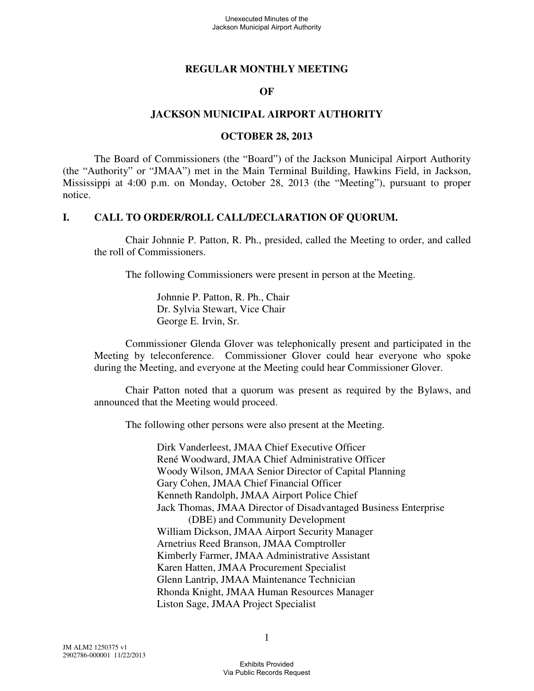#### **REGULAR MONTHLY MEETING**

#### **OF**

#### **JACKSON MUNICIPAL AIRPORT AUTHORITY**

#### **OCTOBER 28, 2013**

The Board of Commissioners (the "Board") of the Jackson Municipal Airport Authority (the "Authority" or "JMAA") met in the Main Terminal Building, Hawkins Field, in Jackson, Mississippi at 4:00 p.m. on Monday, October 28, 2013 (the "Meeting"), pursuant to proper notice.

#### **I. CALL TO ORDER/ROLL CALL/DECLARATION OF QUORUM.**

Chair Johnnie P. Patton, R. Ph., presided, called the Meeting to order, and called the roll of Commissioners.

The following Commissioners were present in person at the Meeting.

Johnnie P. Patton, R. Ph., Chair Dr. Sylvia Stewart, Vice Chair George E. Irvin, Sr.

Commissioner Glenda Glover was telephonically present and participated in the Meeting by teleconference. Commissioner Glover could hear everyone who spoke during the Meeting, and everyone at the Meeting could hear Commissioner Glover.

Chair Patton noted that a quorum was present as required by the Bylaws, and announced that the Meeting would proceed.

The following other persons were also present at the Meeting.

Dirk Vanderleest, JMAA Chief Executive Officer René Woodward, JMAA Chief Administrative Officer Woody Wilson, JMAA Senior Director of Capital Planning Gary Cohen, JMAA Chief Financial Officer Kenneth Randolph, JMAA Airport Police Chief Jack Thomas, JMAA Director of Disadvantaged Business Enterprise (DBE) and Community Development William Dickson, JMAA Airport Security Manager Arnetrius Reed Branson, JMAA Comptroller Kimberly Farmer, JMAA Administrative Assistant Karen Hatten, JMAA Procurement Specialist Glenn Lantrip, JMAA Maintenance Technician Rhonda Knight, JMAA Human Resources Manager Liston Sage, JMAA Project Specialist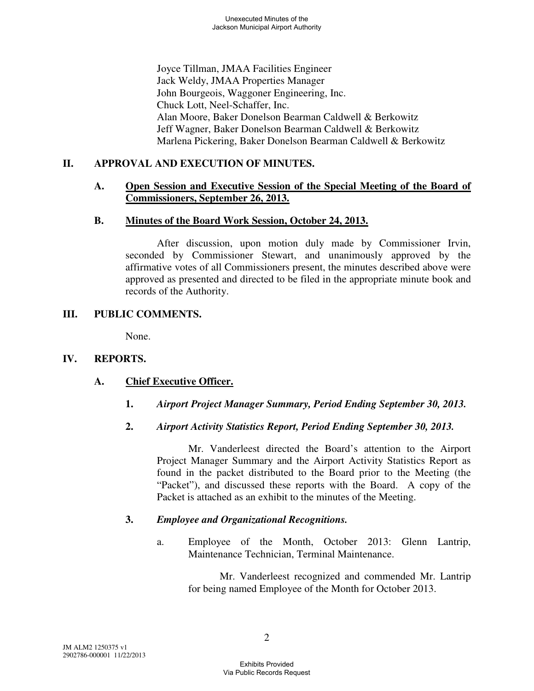Joyce Tillman, JMAA Facilities Engineer Jack Weldy, JMAA Properties Manager John Bourgeois, Waggoner Engineering, Inc. Chuck Lott, Neel-Schaffer, Inc. Alan Moore, Baker Donelson Bearman Caldwell & Berkowitz Jeff Wagner, Baker Donelson Bearman Caldwell & Berkowitz Marlena Pickering, Baker Donelson Bearman Caldwell & Berkowitz

## **II. APPROVAL AND EXECUTION OF MINUTES.**

### **A. Open Session and Executive Session of the Special Meeting of the Board of Commissioners, September 26, 2013.**

### **B. Minutes of the Board Work Session, October 24, 2013.**

After discussion, upon motion duly made by Commissioner Irvin, seconded by Commissioner Stewart, and unanimously approved by the affirmative votes of all Commissioners present, the minutes described above were approved as presented and directed to be filed in the appropriate minute book and records of the Authority.

### **III. PUBLIC COMMENTS.**

None.

## **IV. REPORTS.**

## **A. Chief Executive Officer.**

**1.** *Airport Project Manager Summary, Period Ending September 30, 2013.* 

## **2.** *Airport Activity Statistics Report, Period Ending September 30, 2013.*

Mr. Vanderleest directed the Board's attention to the Airport Project Manager Summary and the Airport Activity Statistics Report as found in the packet distributed to the Board prior to the Meeting (the "Packet"), and discussed these reports with the Board. A copy of the Packet is attached as an exhibit to the minutes of the Meeting.

## **3.** *Employee and Organizational Recognitions.*

a. Employee of the Month, October 2013: Glenn Lantrip, Maintenance Technician, Terminal Maintenance.

> Mr. Vanderleest recognized and commended Mr. Lantrip for being named Employee of the Month for October 2013.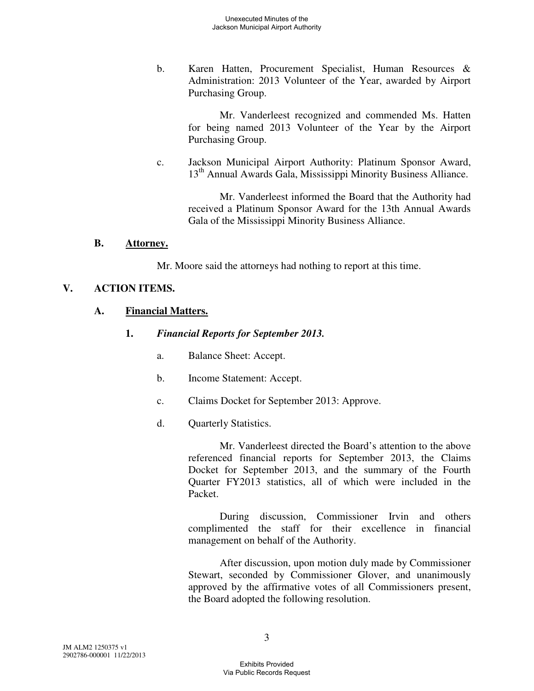b. Karen Hatten, Procurement Specialist, Human Resources & Administration: 2013 Volunteer of the Year, awarded by Airport Purchasing Group.

> Mr. Vanderleest recognized and commended Ms. Hatten for being named 2013 Volunteer of the Year by the Airport Purchasing Group.

c. Jackson Municipal Airport Authority: Platinum Sponsor Award, 13th Annual Awards Gala, Mississippi Minority Business Alliance.

Mr. Vanderleest informed the Board that the Authority had received a Platinum Sponsor Award for the 13th Annual Awards Gala of the Mississippi Minority Business Alliance.

#### **B. Attorney.**

Mr. Moore said the attorneys had nothing to report at this time.

#### **V. ACTION ITEMS.**

#### **A. Financial Matters.**

- **1.** *Financial Reports for September 2013.* 
	- a. Balance Sheet: Accept.
	- b. Income Statement: Accept.
	- c. Claims Docket for September 2013: Approve.
	- d. Quarterly Statistics.

Mr. Vanderleest directed the Board's attention to the above referenced financial reports for September 2013, the Claims Docket for September 2013, and the summary of the Fourth Quarter FY2013 statistics, all of which were included in the Packet.

During discussion, Commissioner Irvin and others complimented the staff for their excellence in financial management on behalf of the Authority.

After discussion, upon motion duly made by Commissioner Stewart, seconded by Commissioner Glover, and unanimously approved by the affirmative votes of all Commissioners present, the Board adopted the following resolution.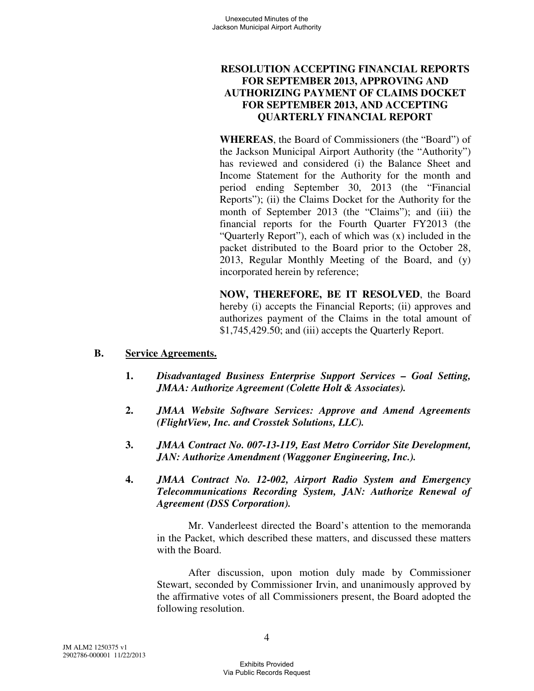## **RESOLUTION ACCEPTING FINANCIAL REPORTS FOR SEPTEMBER 2013, APPROVING AND AUTHORIZING PAYMENT OF CLAIMS DOCKET FOR SEPTEMBER 2013, AND ACCEPTING QUARTERLY FINANCIAL REPORT**

**WHEREAS**, the Board of Commissioners (the "Board") of the Jackson Municipal Airport Authority (the "Authority") has reviewed and considered (i) the Balance Sheet and Income Statement for the Authority for the month and period ending September 30, 2013 (the "Financial Reports"); (ii) the Claims Docket for the Authority for the month of September 2013 (the "Claims"); and (iii) the financial reports for the Fourth Quarter FY2013 (the "Quarterly Report"), each of which was (x) included in the packet distributed to the Board prior to the October 28, 2013, Regular Monthly Meeting of the Board, and (y) incorporated herein by reference;

**NOW, THEREFORE, BE IT RESOLVED**, the Board hereby (i) accepts the Financial Reports; (ii) approves and authorizes payment of the Claims in the total amount of \$1,745,429.50; and (iii) accepts the Quarterly Report.

#### **B. Service Agreements.**

- **1.** *Disadvantaged Business Enterprise Support Services Goal Setting, JMAA: Authorize Agreement (Colette Holt & Associates).*
- **2.** *JMAA Website Software Services: Approve and Amend Agreements (FlightView, Inc. and Crosstek Solutions, LLC).*
- **3.** *JMAA Contract No. 007-13-119, East Metro Corridor Site Development, JAN: Authorize Amendment (Waggoner Engineering, Inc.).*
- **4.** *JMAA Contract No. 12-002, Airport Radio System and Emergency Telecommunications Recording System, JAN: Authorize Renewal of Agreement (DSS Corporation).*

Mr. Vanderleest directed the Board's attention to the memoranda in the Packet, which described these matters, and discussed these matters with the Board.

After discussion, upon motion duly made by Commissioner Stewart, seconded by Commissioner Irvin, and unanimously approved by the affirmative votes of all Commissioners present, the Board adopted the following resolution.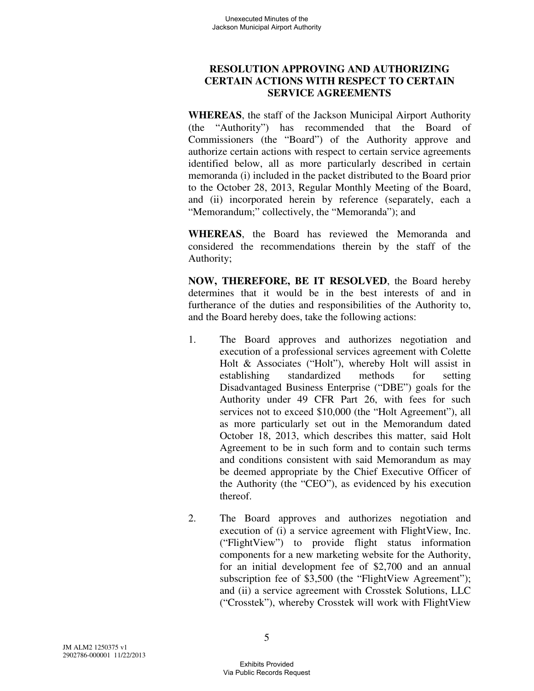# **RESOLUTION APPROVING AND AUTHORIZING CERTAIN ACTIONS WITH RESPECT TO CERTAIN SERVICE AGREEMENTS**

**WHEREAS**, the staff of the Jackson Municipal Airport Authority (the "Authority") has recommended that the Board of Commissioners (the "Board") of the Authority approve and authorize certain actions with respect to certain service agreements identified below, all as more particularly described in certain memoranda (i) included in the packet distributed to the Board prior to the October 28, 2013, Regular Monthly Meeting of the Board, and (ii) incorporated herein by reference (separately, each a "Memorandum;" collectively, the "Memoranda"); and

**WHEREAS**, the Board has reviewed the Memoranda and considered the recommendations therein by the staff of the Authority;

**NOW, THEREFORE, BE IT RESOLVED**, the Board hereby determines that it would be in the best interests of and in furtherance of the duties and responsibilities of the Authority to, and the Board hereby does, take the following actions:

- 1. The Board approves and authorizes negotiation and execution of a professional services agreement with Colette Holt & Associates ("Holt"), whereby Holt will assist in establishing standardized methods for setting Disadvantaged Business Enterprise ("DBE") goals for the Authority under 49 CFR Part 26, with fees for such services not to exceed \$10,000 (the "Holt Agreement"), all as more particularly set out in the Memorandum dated October 18, 2013, which describes this matter, said Holt Agreement to be in such form and to contain such terms and conditions consistent with said Memorandum as may be deemed appropriate by the Chief Executive Officer of the Authority (the "CEO"), as evidenced by his execution thereof.
- 2. The Board approves and authorizes negotiation and execution of (i) a service agreement with FlightView, Inc. ("FlightView") to provide flight status information components for a new marketing website for the Authority, for an initial development fee of \$2,700 and an annual subscription fee of \$3,500 (the "FlightView Agreement"); and (ii) a service agreement with Crosstek Solutions, LLC ("Crosstek"), whereby Crosstek will work with FlightView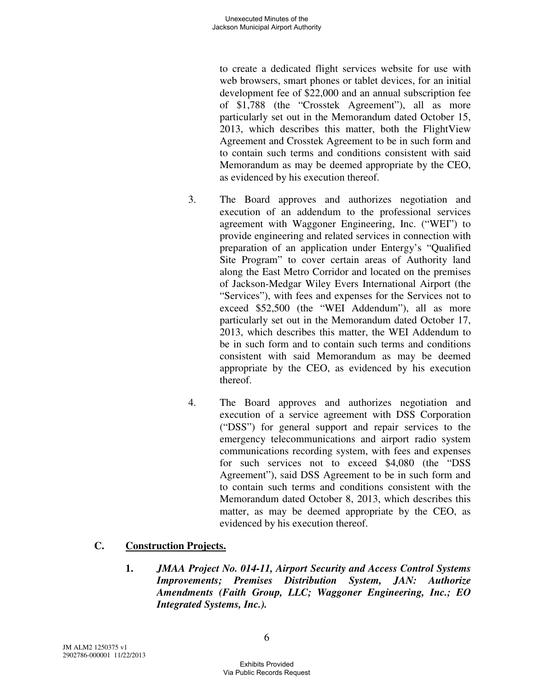to create a dedicated flight services website for use with web browsers, smart phones or tablet devices, for an initial development fee of \$22,000 and an annual subscription fee of \$1,788 (the "Crosstek Agreement"), all as more particularly set out in the Memorandum dated October 15, 2013, which describes this matter, both the FlightView Agreement and Crosstek Agreement to be in such form and to contain such terms and conditions consistent with said Memorandum as may be deemed appropriate by the CEO, as evidenced by his execution thereof.

- 3. The Board approves and authorizes negotiation and execution of an addendum to the professional services agreement with Waggoner Engineering, Inc. ("WEI") to provide engineering and related services in connection with preparation of an application under Entergy's "Qualified Site Program" to cover certain areas of Authority land along the East Metro Corridor and located on the premises of Jackson-Medgar Wiley Evers International Airport (the "Services"), with fees and expenses for the Services not to exceed \$52,500 (the "WEI Addendum"), all as more particularly set out in the Memorandum dated October 17, 2013, which describes this matter, the WEI Addendum to be in such form and to contain such terms and conditions consistent with said Memorandum as may be deemed appropriate by the CEO, as evidenced by his execution thereof.
- 4. The Board approves and authorizes negotiation and execution of a service agreement with DSS Corporation ("DSS") for general support and repair services to the emergency telecommunications and airport radio system communications recording system, with fees and expenses for such services not to exceed \$4,080 (the "DSS Agreement"), said DSS Agreement to be in such form and to contain such terms and conditions consistent with the Memorandum dated October 8, 2013, which describes this matter, as may be deemed appropriate by the CEO, as evidenced by his execution thereof.

## **C. Construction Projects.**

**1.** *JMAA Project No. 014-11, Airport Security and Access Control Systems Improvements; Premises Distribution System, JAN: Authorize Amendments (Faith Group, LLC; Waggoner Engineering, Inc.; EO Integrated Systems, Inc.).*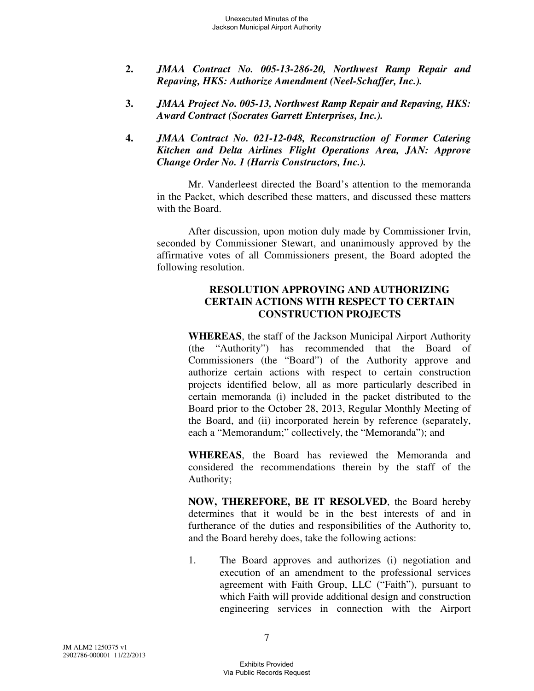- **2.** *JMAA Contract No. 005-13-286-20, Northwest Ramp Repair and Repaving, HKS: Authorize Amendment (Neel-Schaffer, Inc.).*
- **3.** *JMAA Project No. 005-13, Northwest Ramp Repair and Repaving, HKS: Award Contract (Socrates Garrett Enterprises, Inc.).*
- **4.** *JMAA Contract No. 021-12-048, Reconstruction of Former Catering Kitchen and Delta Airlines Flight Operations Area, JAN: Approve Change Order No. 1 (Harris Constructors, Inc.).*

Mr. Vanderleest directed the Board's attention to the memoranda in the Packet, which described these matters, and discussed these matters with the Board.

After discussion, upon motion duly made by Commissioner Irvin, seconded by Commissioner Stewart, and unanimously approved by the affirmative votes of all Commissioners present, the Board adopted the following resolution.

## **RESOLUTION APPROVING AND AUTHORIZING CERTAIN ACTIONS WITH RESPECT TO CERTAIN CONSTRUCTION PROJECTS**

**WHEREAS**, the staff of the Jackson Municipal Airport Authority (the "Authority") has recommended that the Board of Commissioners (the "Board") of the Authority approve and authorize certain actions with respect to certain construction projects identified below, all as more particularly described in certain memoranda (i) included in the packet distributed to the Board prior to the October 28, 2013, Regular Monthly Meeting of the Board, and (ii) incorporated herein by reference (separately, each a "Memorandum;" collectively, the "Memoranda"); and

**WHEREAS**, the Board has reviewed the Memoranda and considered the recommendations therein by the staff of the Authority;

**NOW, THEREFORE, BE IT RESOLVED**, the Board hereby determines that it would be in the best interests of and in furtherance of the duties and responsibilities of the Authority to, and the Board hereby does, take the following actions:

1. The Board approves and authorizes (i) negotiation and execution of an amendment to the professional services agreement with Faith Group, LLC ("Faith"), pursuant to which Faith will provide additional design and construction engineering services in connection with the Airport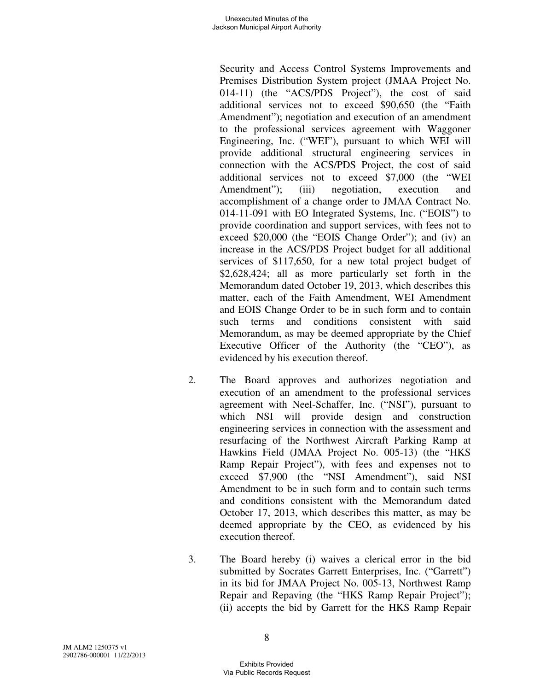Security and Access Control Systems Improvements and Premises Distribution System project (JMAA Project No. 014-11) (the "ACS/PDS Project"), the cost of said additional services not to exceed \$90,650 (the "Faith Amendment"); negotiation and execution of an amendment to the professional services agreement with Waggoner Engineering, Inc. ("WEI"), pursuant to which WEI will provide additional structural engineering services in connection with the ACS/PDS Project, the cost of said additional services not to exceed \$7,000 (the "WEI Amendment"); (iii) negotiation, execution and accomplishment of a change order to JMAA Contract No. 014-11-091 with EO Integrated Systems, Inc. ("EOIS") to provide coordination and support services, with fees not to exceed \$20,000 (the "EOIS Change Order"); and (iv) an increase in the ACS/PDS Project budget for all additional services of \$117,650, for a new total project budget of \$2,628,424; all as more particularly set forth in the Memorandum dated October 19, 2013, which describes this matter, each of the Faith Amendment, WEI Amendment and EOIS Change Order to be in such form and to contain such terms and conditions consistent with said Memorandum, as may be deemed appropriate by the Chief Executive Officer of the Authority (the "CEO"), as evidenced by his execution thereof.

- 2. The Board approves and authorizes negotiation and execution of an amendment to the professional services agreement with Neel-Schaffer, Inc. ("NSI"), pursuant to which NSI will provide design and construction engineering services in connection with the assessment and resurfacing of the Northwest Aircraft Parking Ramp at Hawkins Field (JMAA Project No. 005-13) (the "HKS Ramp Repair Project"), with fees and expenses not to exceed \$7,900 (the "NSI Amendment"), said NSI Amendment to be in such form and to contain such terms and conditions consistent with the Memorandum dated October 17, 2013, which describes this matter, as may be deemed appropriate by the CEO, as evidenced by his execution thereof.
- 3. The Board hereby (i) waives a clerical error in the bid submitted by Socrates Garrett Enterprises, Inc. ("Garrett") in its bid for JMAA Project No. 005-13, Northwest Ramp Repair and Repaving (the "HKS Ramp Repair Project"); (ii) accepts the bid by Garrett for the HKS Ramp Repair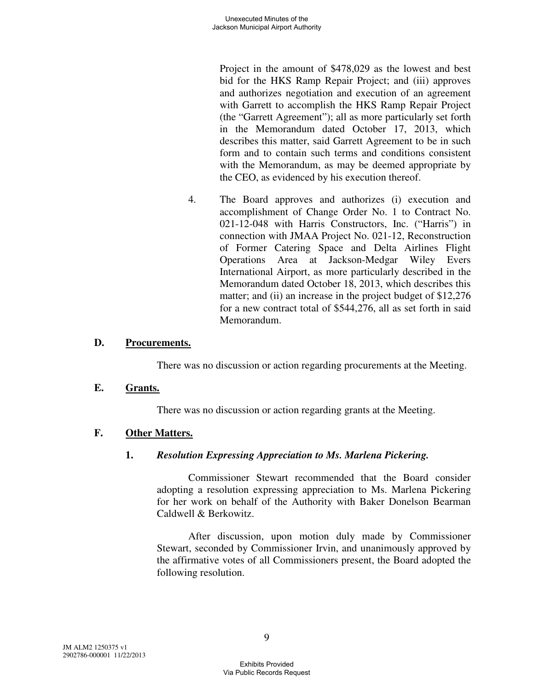Project in the amount of \$478,029 as the lowest and best bid for the HKS Ramp Repair Project; and (iii) approves and authorizes negotiation and execution of an agreement with Garrett to accomplish the HKS Ramp Repair Project (the "Garrett Agreement"); all as more particularly set forth in the Memorandum dated October 17, 2013, which describes this matter, said Garrett Agreement to be in such form and to contain such terms and conditions consistent with the Memorandum, as may be deemed appropriate by the CEO, as evidenced by his execution thereof.

4. The Board approves and authorizes (i) execution and accomplishment of Change Order No. 1 to Contract No. 021-12-048 with Harris Constructors, Inc. ("Harris") in connection with JMAA Project No. 021-12, Reconstruction of Former Catering Space and Delta Airlines Flight Operations Area at Jackson-Medgar Wiley Evers International Airport, as more particularly described in the Memorandum dated October 18, 2013, which describes this matter; and (ii) an increase in the project budget of \$12,276 for a new contract total of \$544,276, all as set forth in said Memorandum.

### **D. Procurements.**

There was no discussion or action regarding procurements at the Meeting.

#### **E. Grants.**

There was no discussion or action regarding grants at the Meeting.

#### **F. Other Matters.**

#### **1.** *Resolution Expressing Appreciation to Ms. Marlena Pickering.*

Commissioner Stewart recommended that the Board consider adopting a resolution expressing appreciation to Ms. Marlena Pickering for her work on behalf of the Authority with Baker Donelson Bearman Caldwell & Berkowitz.

After discussion, upon motion duly made by Commissioner Stewart, seconded by Commissioner Irvin, and unanimously approved by the affirmative votes of all Commissioners present, the Board adopted the following resolution.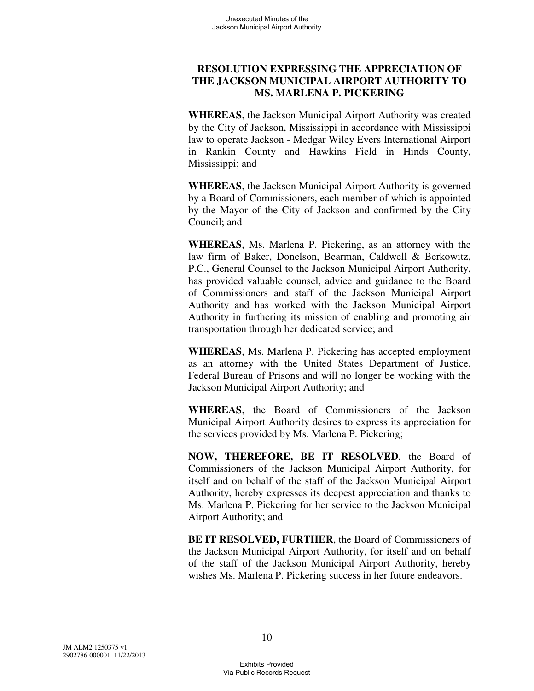## **RESOLUTION EXPRESSING THE APPRECIATION OF THE JACKSON MUNICIPAL AIRPORT AUTHORITY TO MS. MARLENA P. PICKERING**

**WHEREAS**, the Jackson Municipal Airport Authority was created by the City of Jackson, Mississippi in accordance with Mississippi law to operate Jackson - Medgar Wiley Evers International Airport in Rankin County and Hawkins Field in Hinds County, Mississippi; and

**WHEREAS**, the Jackson Municipal Airport Authority is governed by a Board of Commissioners, each member of which is appointed by the Mayor of the City of Jackson and confirmed by the City Council; and

**WHEREAS**, Ms. Marlena P. Pickering, as an attorney with the law firm of Baker, Donelson, Bearman, Caldwell & Berkowitz, P.C., General Counsel to the Jackson Municipal Airport Authority, has provided valuable counsel, advice and guidance to the Board of Commissioners and staff of the Jackson Municipal Airport Authority and has worked with the Jackson Municipal Airport Authority in furthering its mission of enabling and promoting air transportation through her dedicated service; and

**WHEREAS**, Ms. Marlena P. Pickering has accepted employment as an attorney with the United States Department of Justice, Federal Bureau of Prisons and will no longer be working with the Jackson Municipal Airport Authority; and

**WHEREAS**, the Board of Commissioners of the Jackson Municipal Airport Authority desires to express its appreciation for the services provided by Ms. Marlena P. Pickering;

**NOW, THEREFORE, BE IT RESOLVED**, the Board of Commissioners of the Jackson Municipal Airport Authority, for itself and on behalf of the staff of the Jackson Municipal Airport Authority, hereby expresses its deepest appreciation and thanks to Ms. Marlena P. Pickering for her service to the Jackson Municipal Airport Authority; and

**BE IT RESOLVED, FURTHER, the Board of Commissioners of** the Jackson Municipal Airport Authority, for itself and on behalf of the staff of the Jackson Municipal Airport Authority, hereby wishes Ms. Marlena P. Pickering success in her future endeavors.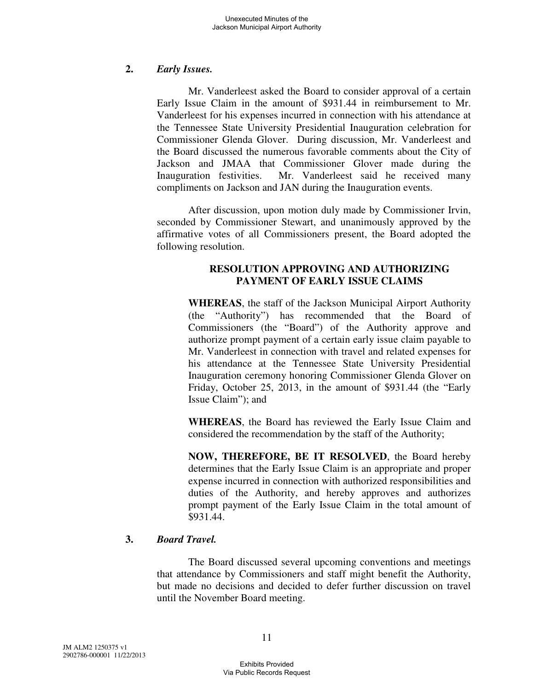### **2.** *Early Issues.*

Mr. Vanderleest asked the Board to consider approval of a certain Early Issue Claim in the amount of \$931.44 in reimbursement to Mr. Vanderleest for his expenses incurred in connection with his attendance at the Tennessee State University Presidential Inauguration celebration for Commissioner Glenda Glover. During discussion, Mr. Vanderleest and the Board discussed the numerous favorable comments about the City of Jackson and JMAA that Commissioner Glover made during the Inauguration festivities. Mr. Vanderleest said he received many compliments on Jackson and JAN during the Inauguration events.

After discussion, upon motion duly made by Commissioner Irvin, seconded by Commissioner Stewart, and unanimously approved by the affirmative votes of all Commissioners present, the Board adopted the following resolution.

## **RESOLUTION APPROVING AND AUTHORIZING PAYMENT OF EARLY ISSUE CLAIMS**

**WHEREAS**, the staff of the Jackson Municipal Airport Authority (the "Authority") has recommended that the Board of Commissioners (the "Board") of the Authority approve and authorize prompt payment of a certain early issue claim payable to Mr. Vanderleest in connection with travel and related expenses for his attendance at the Tennessee State University Presidential Inauguration ceremony honoring Commissioner Glenda Glover on Friday, October 25, 2013, in the amount of \$931.44 (the "Early Issue Claim"); and

**WHEREAS**, the Board has reviewed the Early Issue Claim and considered the recommendation by the staff of the Authority;

**NOW, THEREFORE, BE IT RESOLVED**, the Board hereby determines that the Early Issue Claim is an appropriate and proper expense incurred in connection with authorized responsibilities and duties of the Authority, and hereby approves and authorizes prompt payment of the Early Issue Claim in the total amount of \$931.44.

## **3.** *Board Travel.*

The Board discussed several upcoming conventions and meetings that attendance by Commissioners and staff might benefit the Authority, but made no decisions and decided to defer further discussion on travel until the November Board meeting.